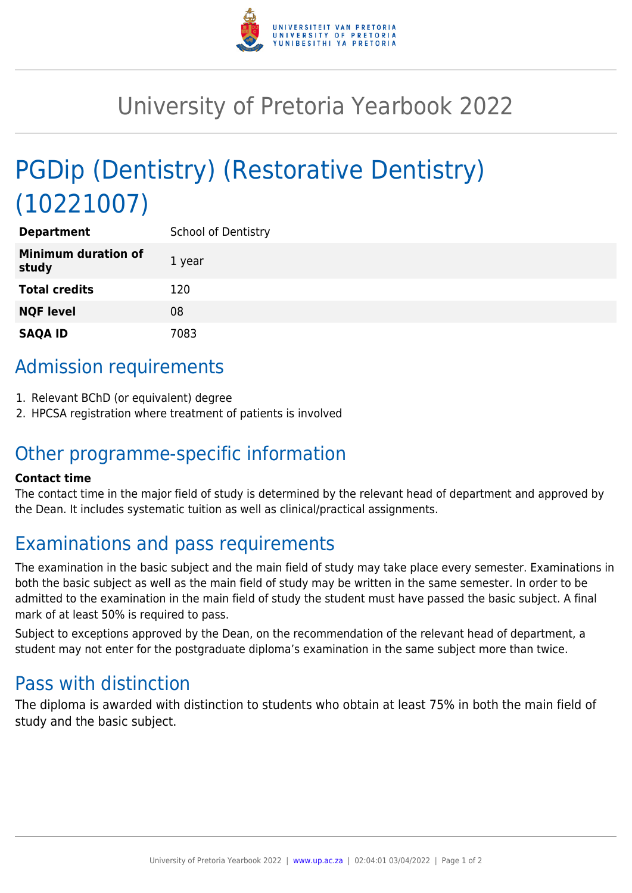

# University of Pretoria Yearbook 2022

# PGDip (Dentistry) (Restorative Dentistry) (10221007)

| <b>Department</b>                   | School of Dentistry |
|-------------------------------------|---------------------|
| <b>Minimum duration of</b><br>study | 1 year              |
| <b>Total credits</b>                | 120                 |
| <b>NQF level</b>                    | 08                  |
| <b>SAQA ID</b>                      | 7083                |

## Admission requirements

- 1. Relevant BChD (or equivalent) degree
- 2. HPCSA registration where treatment of patients is involved

### Other programme-specific information

#### **Contact time**

The contact time in the major field of study is determined by the relevant head of department and approved by the Dean. It includes systematic tuition as well as clinical/practical assignments.

## Examinations and pass requirements

The examination in the basic subject and the main field of study may take place every semester. Examinations in both the basic subject as well as the main field of study may be written in the same semester. In order to be admitted to the examination in the main field of study the student must have passed the basic subject. A final mark of at least 50% is required to pass.

Subject to exceptions approved by the Dean, on the recommendation of the relevant head of department, a student may not enter for the postgraduate diploma's examination in the same subject more than twice.

### Pass with distinction

The diploma is awarded with distinction to students who obtain at least 75% in both the main field of study and the basic subject.